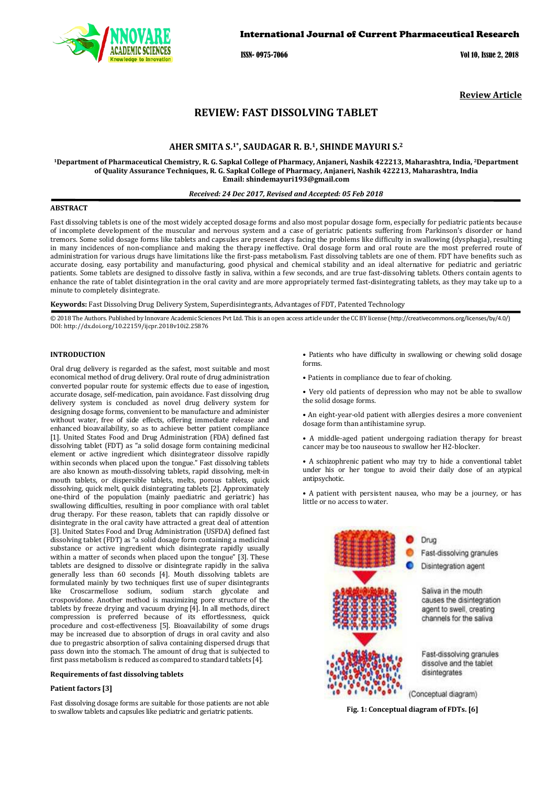

# International Journal of Current Pharmaceutical Research

ISSN- 0975-7066 Vol 10, Issue 2, 2018

**Review Article**

# **REVIEW: FAST DISSOLVING TABLET**

# **AHER SMITA S.1\*, SAUDAGAR R. B. 1, SHINDE MAYURI S.2**

**1Department of Pharmaceutical Chemistry, R. G. Sapkal College of Pharmacy, Anjaneri, Nashik 422213, Maharashtra, India, 2 Department of Quality Assurance Techniques, R. G. Sapkal College of Pharmacy, Anjaneri, Nashik 422213, Maharashtra, India Email: shindemayuri193@gmail.com**

# *Received: 24 Dec 2017, Revised and Accepted: 05 Feb 2018*

# **ABSTRACT**

Fast dissolving tablets is one of the most widely accepted dosage forms and also most popular dosage form, especially for pediatric patients because of incomplete development of the muscular and nervous system and a case of geriatric patients suffering from Parkinson's disorder or hand tremors. Some solid dosage forms like tablets and capsules are present days facing the problems like difficulty in swallowing (dysphagia), resulting in many incidences of non-compliance and making the therapy ineffective. Oral dosage form and oral route are the most preferred route of administration for various drugs have limitations like the first-pass metabolism. Fast dissolving tablets are one of them. FDT have benefits such as accurate dosing, easy portability and manufacturing, good physical and chemical stability and an ideal alternative for pediatric and geriatric patients. Some tablets are designed to dissolve fastly in saliva, within a few seconds, and are true fast-dissolving tablets. Others contain agents to enhance the rate of tablet disintegration in the oral cavity and are more appropriately termed fast-disintegrating tablets, as they may take up to a minute to completely disintegrate.

**Keywords:** Fast Dissolving Drug Delivery System, Superdisintegrants, Advantages of FDT, Patented Technology

© 2018 The Authors. Published by Innovare Academic Sciences Pvt Ltd. This is an open access article under the CC BY license (<http://creativecommons.org/licenses/by/4.0/>) DOI: http://dx.doi.org/10.22159/ijcpr.2018v10i2.25876

# **INTRODUCTION**

Oral drug delivery is regarded as the safest, most suitable and most economical method of drug delivery. Oral route of drug administration converted popular route for systemic effects due to ease of ingestion, accurate dosage, self-medication, pain avoidance. Fast dissolving drug delivery system is concluded as novel drug delivery system for designing dosage forms, convenient to be manufacture and administer without water, free of side effects, offering immediate release and enhanced bioavailability, so as to achieve better patient compliance [1]. United States Food and Drug Administration (FDA) defined fast dissolving tablet (FDT) as "a solid dosage form containing medicinal element or active ingredient which disintegrateor dissolve rapidly within seconds when placed upon the tongue." Fast dissolving tablets are also known as mouth-dissolving tablets, rapid dissolving, melt-in mouth tablets, or dispersible tablets, melts, porous tablets, quick dissolving, quick melt, quick disintegrating tablets [2]. Approximately one-third of the population (mainly paediatric and geriatric) has swallowing difficulties, resulting in poor compliance with oral tablet drug therapy. For these reason, tablets that can rapidly dissolve or disintegrate in the oral cavity have attracted a great deal of attention [3]. United States Food and Drug Administration (USFDA) defined fast dissolving tablet (FDT) as "a solid dosage form containing a medicinal substance or active ingredient which disintegrate rapidly usually within a matter of seconds when placed upon the tongue" [3]. These tablets are designed to dissolve or disintegrate rapidly in the saliva generally less than 60 seconds [4]. Mouth dissolving tablets are formulated mainly by two techniques first use of super disintegrants like Croscarmellose sodium, sodium starch glycolate and crospovidone. Another method is maximizing pore structure of the tablets by freeze drying and vacuum drying [4]. In all methods, direct compression is preferred because of its effortlessness, quick procedure and cost-effectiveness [5]. Bioavailability of some drugs may be increased due to absorption of drugs in oral cavity and also due to pregastric absorption of saliva containing dispersed drugs that pass down into the stomach. The amount of drug that is subjected to first pass metabolism is reduced as compared to standard tablets [4].

#### **Requirements of fast dissolving tablets**

# **Patient factors [3]**

Fast dissolving dosage forms are suitable for those patients are not able to swallow tablets and capsules like pediatric and geriatric patients.

- Patients who have difficulty in swallowing or chewing solid dosage forms.
- Patients in compliance due to fear of choking.

• Very old patients of depression who may not be able to swallow the solid dosage forms.

• An eight-year-old patient with allergies desires a more convenient dosage form than antihistamine syrup.

• A middle-aged patient undergoing radiation therapy for breast cancer may be too nauseous to swallow her H2-blocker.

• A schizophrenic patient who may try to hide a conventional tablet under his or her tongue to avoid their daily dose of an atypical antipsychotic.

• A patient with persistent nausea, who may be a journey, or has little or no access to water.



**Fig. 1: Conceptual diagram of FDTs. [6]**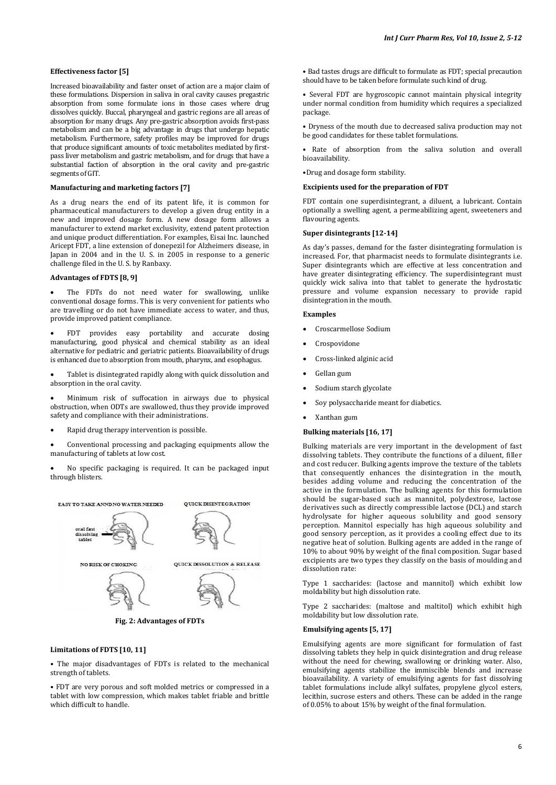### **Effectiveness factor [5]**

Increased bioavailability and faster onset of action are a major claim of these formulations. Dispersion in saliva in oral cavity causes pregastric absorption from some formulate ions in those cases where drug dissolves quickly. Buccal, pharyngeal and gastric regions are all areas of absorption for many drugs. Any pre-gastric absorption avoids first-pass metabolism and can be a big advantage in drugs that undergo hepatic metabolism. Furthermore, safety profiles may be improved for drugs that produce significant amounts of toxic metabolites mediated by firstpass liver metabolism and gastric metabolism, and for drugs that have a substantial faction of absorption in the oral cavity and pre-gastric segments of GIT.

### **Manufacturing and marketing factors [7]**

As a drug nears the end of its patent life, it is common for pharmaceutical manufacturers to develop a given drug entity in a new and improved dosage form. A new dosage form allows a manufacturer to extend market exclusivity, extend patent protection and unique product differentiation. For examples, Eisai Inc. launched Aricept FDT, a line extension of donepezil for Alzheimers disease, in Japan in 2004 and in the U. S. in 2005 in response to a generic challenge filed in the U. S. by Ranbaxy.

### **Advantages of FDTS [8, 9]**

The FDTs do not need water for swallowing, unlike conventional dosage forms. This is very convenient for patients who are travelling or do not have immediate access to water, and thus, provide improved patient compliance.

• FDT provides easy portability and accurate dosing manufacturing, good physical and chemical stability as an ideal alternative for pediatric and geriatric patients. Bioavailability of drugs is enhanced due to absorption from mouth, pharynx, and esophagus.

• Tablet is disintegrated rapidly along with quick dissolution and absorption in the oral cavity.

• Minimum risk of suffocation in airways due to physical obstruction, when ODTs are swallowed, thus they provide improved safety and compliance with their administrations.

• Rapid drug therapy intervention is possible.

• Conventional processing and packaging equipments allow the manufacturing of tablets at low cost.

• No specific packaging is required. It can be packaged input through blisters.



**Fig. 2: Advantages of FDTs**

# **Limitations of FDTS [10, 11]**

• The major disadvantages of FDTs is related to the mechanical strength of tablets.

• FDT are very porous and soft molded metrics or compressed in a tablet with low compression, which makes tablet friable and brittle which difficult to handle.

• Bad tastes drugs are difficult to formulate as FDT; special precaution should have to be taken before formulate such kind of drug.

• Several FDT are hygroscopic cannot maintain physical integrity under normal condition from humidity which requires a specialized package.

• Dryness of the mouth due to decreased saliva production may not be good candidates for these tablet formulations.

• Rate of absorption from the saliva solution and overall bioavailability.

•Drug and dosage form stability.

### **Excipients used for the preparation of FDT**

FDT contain one superdisintegrant, a diluent, a lubricant. Contain optionally a swelling agent, a permeabilizing agent, sweeteners and flavouring agents.

# **Super disintegrants [12-14]**

As day's passes, demand for the faster disintegrating formulation is increased. For, that pharmacist needs to formulate disintegrants i.e. Super disintegrants which are effective at less concentration and have greater disintegrating efficiency. The superdisintegrant must quickly wick saliva into that tablet to generate the hydrostatic pressure and volume expansion necessary to provide rapid disintegration in the mouth.

### **Examples**

- Croscarmellose Sodium
- Crospovidone
- Cross-linked alginic acid
- Gellan gum
- Sodium starch glycolate
- Soy polysaccharide meant for diabetics.
- Xanthan gum

# **Bulking materials [16, 17]**

Bulking materials are very important in the development of fast dissolving tablets. They contribute the functions of a diluent, filler and cost reducer. Bulking agents improve the texture of the tablets that consequently enhances the disintegration in the mouth, besides adding volume and reducing the concentration of the active in the formulation. The bulking agents for this formulation should be sugar-based such as mannitol, polydextrose, lactose derivatives such as directly compressible lactose (DCL) and starch hydrolysate for higher aqueous solubility and good sensory perception. Mannitol especially has high aqueous solubility and good sensory perception, as it provides a cooling effect due to its negative heat of solution. Bulking agents are added in the range of 10% to about 90% by weight of the final composition. Sugar based excipients are two types they classify on the basis of moulding and dissolution rate:

Type 1 saccharides: (lactose and mannitol) which exhibit low moldability but high dissolution rate.

Type 2 saccharides: (maltose and maltitol) which exhibit high moldability but low dissolution rate.

### **Emulsifying agents [5, 17]**

Emulsifying agents are more significant for formulation of fast dissolving tablets they help in quick disintegration and drug release without the need for chewing, swallowing or drinking water. Also, emulsifying agents stabilize the immiscible blends and increase bioavailability. A variety of emulsifying agents for fast dissolving tablet formulations include alkyl sulfates, propylene glycol esters, lecithin, sucrose esters and others. These can be added in the range of 0.05% to about 15% by weight of the final formulation.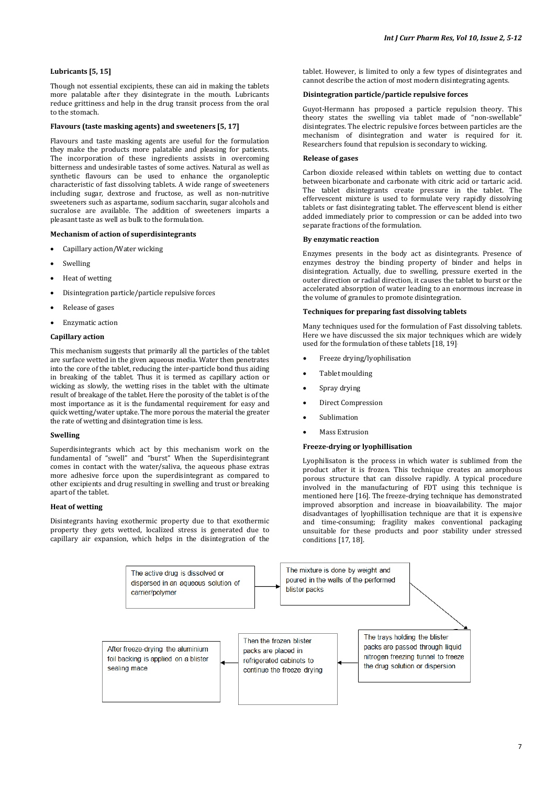# **Lubricants [5, 15]**

Though not essential excipients, these can aid in making the tablets more palatable after they disintegrate in the mouth. Lubricants reduce grittiness and help in the drug transit process from the oral to the stomach.

# **Flavours (taste masking agents) and sweeteners [5, 17]**

Flavours and taste masking agents are useful for the formulation they make the products more palatable and pleasing for patients. The incorporation of these ingredients assists in overcoming bitterness and undesirable tastes of some actives. Natural as well as synthetic flavours can be used to enhance the organoleptic characteristic of fast dissolving tablets. A wide range of sweeteners including sugar, dextrose and fructose, as well as non-nutritive sweeteners such as aspartame, sodium saccharin, sugar alcohols and sucralose are available. The addition of sweeteners imparts a pleasant taste as well as bulk to the formulation.

#### **Mechanism of action of superdisintegrants**

- Capillary action/Water wicking
- **Swelling**
- Heat of wetting
- Disintegration particle/particle repulsive forces
- Release of gases
- Enzymatic action

# **Capillary action**

This mechanism suggests that primarily all the particles of the tablet are surface wetted in the given aqueous media. Water then penetrates into the core of the tablet, reducing the inter-particle bond thus aiding in breaking of the tablet. Thus it is termed as capillary action or wicking as slowly, the wetting rises in the tablet with the ultimate result of breakage of the tablet. Here the porosity of the tablet is of the most importance as it is the fundamental requirement for easy and quick wetting/water uptake. The more porous the material the greater the rate of wetting and disintegration time is less.

#### **Swelling**

Superdisintegrants which act by this mechanism work on the fundamental of "swell" and "burst" When the Superdisintegrant comes in contact with the water/saliva, the aqueous phase extras more adhesive force upon the superdisintegrant as compared to other excipients and drug resulting in swelling and trust or breaking apart of the tablet.

### **Heat of wetting**

Disintegrants having exothermic property due to that exothermic property they gets wetted, localized stress is generated due to capillary air expansion, which helps in the disintegration of the tablet. However, is limited to only a few types of disintegrates and cannot describe the action of most modern disintegrating agents.

# **Disintegration particle/particle repulsive forces**

Guyot-Hermann has proposed a particle repulsion theory. This theory states the swelling via tablet made of "non-swellable" disintegrates. The electric repulsive forces between particles are the mechanism of disintegration and water is required for it. Researchers found that repulsion is secondary to wicking.

### **Release of gases**

Carbon dioxide released within tablets on wetting due to contact between bicarbonate and carbonate with citric acid or tartaric acid. The tablet disintegrants create pressure in the tablet. The effervescent mixture is used to formulate very rapidly dissolving tablets or fast disintegrating tablet. The effervescent blend is either added immediately prior to compression or can be added into two separate fractions of the formulation.

# **By enzymatic reaction**

Enzymes presents in the body act as disintegrants. Presence of enzymes destroy the binding property of binder and helps in disintegration. Actually, due to swelling, pressure exerted in the outer direction or radial direction, it causes the tablet to burst or the accelerated absorption of water leading to an enormous increase in the volume of granules to promote disintegration.

# **Techniques for preparing fast dissolving tablets**

Many techniques used for the formulation of Fast dissolving tablets. Here we have discussed the six major techniques which are widely used for the formulation of these tablets [18, 19] .

- Freeze drying/lyophilisation
- Tablet moulding
- Spray drying
- Direct Compression
- Sublimation
- Mass Extrusion

### **Freeze-drying or lyophillisation**

Lyophilisaton is the process in which water is sublimed from the product after it is frozen. This technique creates an amorphous porous structure that can dissolve rapidly. A typical procedure involved in the manufacturing of FDT using this technique is mentioned here [16]. The freeze-drying technique has demonstrated improved absorption and increase in bioavailability. The major disadvantages of lyophillisation technique are that it is expensive and time-consuming; fragility makes conventional packaging unsuitable for these products and poor stability under stressed conditions [17, 18].

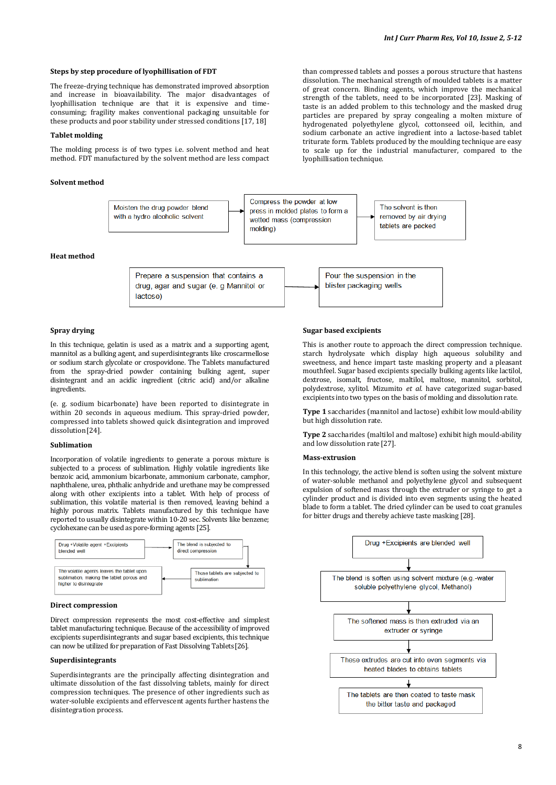# **Steps by step procedure of lyophillisation of FDT**

The freeze-drying technique has demonstrated improved absorption and increase in bioavailability. The major disadvantages of lyophillisation technique are that it is expensive and timeconsuming; fragility makes conventional packaging unsuitable for these products and poor stability under stressed conditions [17, 18]

### **Tablet molding**

The molding process is of two types i.e. solvent method and heat method. FDT manufactured by the solvent method are less compact

#### **Solvent method**

dissolution. The mechanical strength of moulded tablets is a matter of great concern. Binding agents, which improve the mechanical strength of the tablets, need to be incorporated [23]. Masking of taste is an added problem to this technology and the masked drug particles are prepared by spray congealing a molten mixture of hydrogenated polyethylene glycol, cottonseed oil, lecithin, and sodium carbonate an active ingredient into a lactose-based tablet triturate form. Tablets produced by the moulding technique are easy to scale up for the industrial manufacturer, compared to the lyophillisation technique.

than compressed tablets and posses a porous structure that hastens



# **Spray drying**

In this technique, gelatin is used as a matrix and a supporting agent, mannitol as a bulking agent, and superdisintegrants like croscarmellose or sodium starch glycolate or crospovidone. The Tablets manufactured from the spray-dried powder containing bulking agent, super disintegrant and an acidic ingredient (citric acid) and/or alkaline ingredients.

lactose)

(e. g. sodium bicarbonate) have been reported to disintegrate in within 20 seconds in aqueous medium. This spray-dried powder, compressed into tablets showed quick disintegration and improved dissolution [24].

# **Sublimation**

Incorporation of volatile ingredients to generate a porous mixture is subjected to a process of sublimation. Highly volatile ingredients like benzoic acid, ammonium bicarbonate, ammonium carbonate, camphor, naphthalene, urea, phthalic anhydride and urethane may be compressed along with other excipients into a tablet. With help of process of sublimation, this volatile material is then removed, leaving behind a highly porous matrix. Tablets manufactured by this technique have reported to usually disintegrate within 10-20 sec. Solvents like benzene; cyclohexane can be used as pore-forming agents [25].



#### **Direct compression**

Direct compression represents the most cost-effective and simplest tablet manufacturing technique. Because of the accessibility of improved excipients superdisintegrants and sugar based excipients, this technique can now be utilized for preparation of Fast Dissolving Tablets [26].

### **Superdisintegrants**

Superdisintegrants are the principally affecting disintegration and ultimate dissolution of the fast dissolving tablets, mainly for direct compression techniques. The presence of other ingredients such as water-soluble excipients and effervescent agents further hastens the disintegration process.

### **Sugar based excipients**

This is another route to approach the direct compression technique. starch hydrolysate which display high aqueous solubility and sweetness, and hence impart taste masking property and a pleasant mouthfeel. Sugar based excipients specially bulking agents like lactilol, dextrose, isomalt, fructose, maltilol, maltose, mannitol, sorbitol, polydextrose, xylitol. Mizumito *et al.* have categorized sugar-based excipients into two types on the basis of molding and dissolution rate.

**Type 1** saccharides (mannitol and lactose) exhibit low mould-ability but high dissolution rate.

**Type 2** saccharides (maltilol and maltose) exhibit high mould-ability and low dissolution rate [27].

# **Mass-extrusion**

In this technology, the active blend is soften using the solvent mixture of water-soluble methanol and polyethylene glycol and subsequent expulsion of softened mass through the extruder or syringe to get a cylinder product and is divided into even segments using the heated blade to form a tablet. The dried cylinder can be used to coat granules for bitter drugs and thereby achieve taste masking [28].

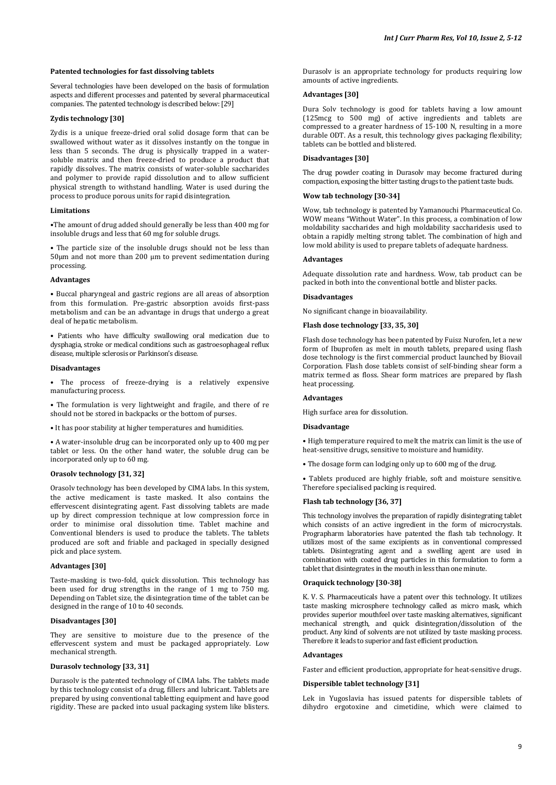# **Patented technologies for fast dissolving tablets**

Several technologies have been developed on the basis of formulation aspects and different processes and patented by several pharmaceutical companies. The patented technology is described below: [29]

# **Zydis technology [30]**

Zydis is a unique freeze-dried oral solid dosage form that can be swallowed without water as it dissolves instantly on the tongue in less than 5 seconds. The drug is physically trapped in a watersoluble matrix and then freeze-dried to produce a product that rapidly dissolves. The matrix consists of water-soluble saccharides and polymer to provide rapid dissolution and to allow sufficient physical strength to withstand handling. Water is used during the process to produce porous units for rapid disintegration.

#### **Limitations**

•The amount of drug added should generally be less than 400 mg for insoluble drugs and less that 60 mg for soluble drugs.

• The particle size of the insoluble drugs should not be less than 50μm and not more than 200 μm to prevent sedimentation during processing.

# **Advantages**

• Buccal pharyngeal and gastric regions are all areas of absorption from this formulation. Pre-gastric absorption avoids first-pass metabolism and can be an advantage in drugs that undergo a great deal of hepatic metabolism.

• Patients who have difficulty swallowing oral medication due to dysphagia, stroke or medical conditions such as gastroesophageal reflux disease, multiple sclerosis or Parkinson's disease.

#### **Disadvantages**

• The process of freeze-drying is a relatively expensive manufacturing process.

• The formulation is very lightweight and fragile, and there of re should not be stored in backpacks or the bottom of purses.

• It has poor stability at higher temperatures and humidities.

• A water-insoluble drug can be incorporated only up to 400 mg per tablet or less. On the other hand water, the soluble drug can be incorporated only up to 60 mg.

# **Orasolv technology [31, 32]**

Orasolv technology has been developed by CIMA labs. In this system, the active medicament is taste masked. It also contains the effervescent disintegrating agent. Fast dissolving tablets are made up by direct compression technique at low compression force in order to minimise oral dissolution time. Tablet machine and Conventional blenders is used to produce the tablets. The tablets produced are soft and friable and packaged in specially designed pick and place system.

### **Advantages [30]**

Taste-masking is two-fold, quick dissolution. This technology has been used for drug strengths in the range of 1 mg to 750 mg. Depending on Tablet size, the disintegration time of the tablet can be designed in the range of 10 to 40 seconds.

# **Disadvantages [30]**

They are sensitive to moisture due to the presence of the effervescent system and must be packaged appropriately. Low mechanical strength.

# **Durasolv technology [33, 31]**

Durasolv is the patented technology of CIMA labs. The tablets made by this technology consist of a drug, fillers and lubricant. Tablets are prepared by using conventional tabletting equipment and have good rigidity. These are packed into usual packaging system like blisters. Durasolv is an appropriate technology for products requiring low amounts of active ingredients.

# **Advantages [30]**

Dura Solv technology is good for tablets having a low amount (125mcg to 500 mg) of active ingredients and tablets are compressed to a greater hardness of 15-100 N, resulting in a more durable ODT. As a result, this technology gives packaging flexibility; tablets can be bottled and blistered.

### **Disadvantages [30]**

The drug powder coating in Durasolv may become fractured during compaction, exposing the bitter tasting drugs to the patient taste buds.

## **Wow tab technology [30-34]**

Wow, tab technology is patented by Yamanouchi Pharmaceutical Co. WOW means "Without Water". In this process, a combination of low moldability saccharides and high moldability saccharidesis used to obtain a rapidly melting strong tablet. The combination of high and low mold ability is used to prepare tablets of adequate hardness.

# **Advantages**

Adequate dissolution rate and hardness. Wow, tab product can be packed in both into the conventional bottle and blister packs.

# **Disadvantages**

No significant change in bioavailability.

# **Flash dose technology [33, 35, 30]**

Flash dose technology has been patented by Fuisz Nurofen, let a new form of Ibuprofen as melt in mouth tablets, prepared using flash dose technology is the first commercial product launched by Biovail Corporation. Flash dose tablets consist of self-binding shear form a matrix termed as floss. Shear form matrices are prepared by flash heat processing.

# **Advantages**

High surface area for dissolution.

# **Disadvantage**

• High temperature required to melt the matrix can limit is the use of heat-sensitive drugs, sensitive to moisture and humidity.

• The dosage form can lodging only up to 600 mg of the drug.

• Tablets produced are highly friable, soft and moisture sensitive. Therefore specialised packing is required.

#### **Flash tab technology [36, 37]**

This technology involves the preparation of rapidly disintegrating tablet which consists of an active ingredient in the form of microcrystals. Prographarm laboratories have patented the flash tab technology. It utilizes most of the same excipients as in conventional compressed tablets. Disintegrating agent and a swelling agent are used in combination with coated drug particles in this formulation to form a tablet that disintegrates in the mouth in less than one minute.

#### **Oraquick technology [30-38]**

K. V. S. Pharmaceuticals have a patent over this technology. It utilizes taste masking microsphere technology called as micro mask, which provides superior mouthfeel over taste masking alternatives, significant mechanical strength, and quick disintegration/dissolution of the product. Any kind of solvents are not utilized by taste masking process. Therefore it leads to superior and fast efficient production.

### **Advantages**

Faster and efficient production, appropriate for heat-sensitive drugs.

# **Dispersible tablet technology [31]**

Lek in Yugoslavia has issued patents for dispersible tablets of dihydro ergotoxine and cimetidine, which were claimed to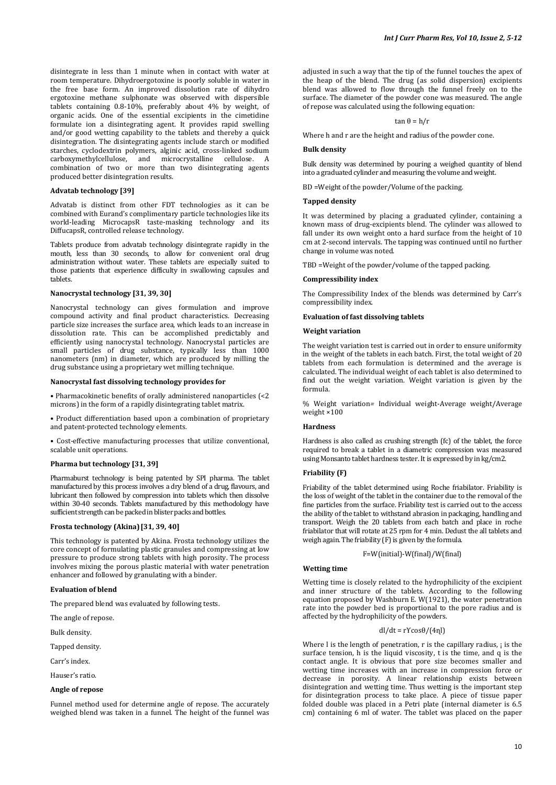disintegrate in less than 1 minute when in contact with water at room temperature. Dihydroergotoxine is poorly soluble in water in the free base form. An improved dissolution rate of dihydro ergotoxine methane sulphonate was observed with dispersible tablets containing 0.8-10%, preferably about 4% by weight, of organic acids. One of the essential excipients in the cimetidine formulate ion a disintegrating agent. It provides rapid swelling and/or good wetting capability to the tablets and thereby a quick disintegration. The disintegrating agents include starch or modified starches, cyclodextrin polymers, alginic acid, cross-linked sodium carboxymethylcellulose, and microcrystalline cellulose. A combination of two or more than two disintegrating agents produced better disintegration results.

### **Advatab technology [39]**

Advatab is distinct from other FDT technologies as it can be combined with Eurand's complimentary particle technologies like its world-leading MicrocapsR taste-masking technology and its DiffucapsR, controlled release technology.

Tablets produce from advatab technology disintegrate rapidly in the mouth, less than 30 seconds, to allow for convenient oral drug administration without water. These tablets are especially suited to those patients that experience difficulty in swallowing capsules and tablets.

#### **Nanocrystal technology [31, 39, 30]**

Nanocrystal technology can gives formulation and improve compound activity and final product characteristics. Decreasing particle size increases the surface area, which leads to an increase in dissolution rate. This can be accomplished predictably and efficiently using nanocrystal technology. Nanocrystal particles are small particles of drug substance, typically less than 1000 nanometers (nm) in diameter, which are produced by milling the drug substance using a proprietary wet milling technique.

# **Nanocrystal fast dissolving technology provides for**

• Pharmacokinetic benefits of orally administered nanoparticles (<2 microns) in the form of a rapidly disintegrating tablet matrix.

• Product differentiation based upon a combination of proprietary and patent-protected technology elements.

• Cost-effective manufacturing processes that utilize conventional, scalable unit operations.

# **Pharma but technology [31, 39]**

Pharmaburst technology is being patented by SPI pharma. The tablet manufactured by this process involves a dry blend of a drug, flavours, and lubricant then followed by compression into tablets which then dissolve within 30-40 seconds. Tablets manufactured by this methodology have sufficient strength can be packed in blister packs and bottles.

#### **Frosta technology (Akina) [31, 39, 40]**

This technology is patented by Akina. Frosta technology utilizes the core concept of formulating plastic granules and compressing at low pressure to produce strong tablets with high porosity. The process involves mixing the porous plastic material with water penetration enhancer and followed by granulating with a binder.

# **Evaluation of blend**

The prepared blend was evaluated by following tests.

The angle of repose.

Bulk density.

Tapped density.

Carr's index.

Hauser's ratio.

### **Angle of repose**

Funnel method used for determine angle of repose. The accurately weighed blend was taken in a funnel. The height of the funnel was

adjusted in such a way that the tip of the funnel touches the apex of the heap of the blend. The drug (as solid dispersion) excipients blend was allowed to flow through the funnel freely on to the surface. The diameter of the powder cone was measured. The angle of repose was calculated using the following equation:

### tan θ = h/r

Where h and r are the height and radius of the powder cone.

# **Bulk density**

Bulk density was determined by pouring a weighed quantity of blend into a graduated cylinder and measuring the volume and weight.

BD =Weight of the powder/Volume of the packing.

### **Tapped density**

It was determined by placing a graduated cylinder, containing a known mass of drug-excipients blend. The cylinder was allowed to fall under its own weight onto a hard surface from the height of 10 cm at 2-second intervals. The tapping was continued until no further change in volume was noted.

TBD =Weight of the powder/volume of the tapped packing.

#### **Compressibility index**

The Compressibility Index of the blends was determined by Carr's compressibility index.

### **Evaluation of fast dissolving tablets**

# **Weight variation**

The weight variation test is carried out in order to ensure uniformity in the weight of the tablets in each batch. First, the total weight of 20 tablets from each formulation is determined and the average is calculated. The individual weight of each tablet is also determined to find out the weight variation. Weight variation is given by the formula.

% Weight variation*=* Individual weight-Average weight/Average weight ×100

# **Hardness**

Hardness is also called as crushing strength (fc) of the tablet, the force required to break a tablet in a diametric compression was measured using Monsanto tablet hardness tester. It is expressed by in kg/cm2.

### **Friability (F)**

Friability of the tablet determined using Roche friabilator. Friability is the loss of weight of the tablet in the container due to the removal of the fine particles from the surface. Friability test is carried out to the access the ability of the tablet to withstand abrasion in packaging, handling and transport. Weigh the 20 tablets from each batch and place in roche friabilator that will rotate at 25 rpm for 4 min. Dedust the all tablets and weigh again. The friability (F) is given by the formula.

#### F=W(initial)-W(final)/W(final)

#### **Wetting time**

Wetting time is closely related to the hydrophilicity of the excipient and inner structure of the tablets. According to the following equation proposed by Washburn E. W(1921), the water penetration rate into the powder bed is proportional to the pore radius and is affected by the hydrophilicity of the powders.

### dl/dt = rϒcosθ/(4ɳl)

Where  $l$  is the length of penetration,  $r$  is the capillary radius,  $i$  is the surface tension, h is the liquid viscosity, t is the time, and q is the contact angle. It is obvious that pore size becomes smaller and wetting time increases with an increase in compression force or decrease in porosity. A linear relationship exists between disintegration and wetting time. Thus wetting is the important step for disintegration process to take place. A piece of tissue paper folded double was placed in a Petri plate (internal diameter is 6.5 cm) containing 6 ml of water. The tablet was placed on the paper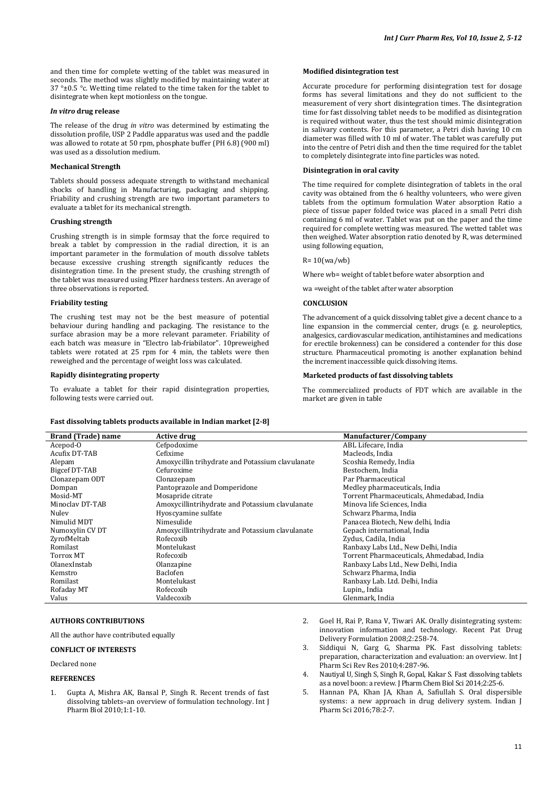and then time for complete wetting of the tablet was measured in seconds. The method was slightly modified by maintaining water at 37 °±0.5 °c. Wetting time related to the time taken for the tablet to disintegrate when kept motionless on the tongue.

#### *In vitro* **drug release**

The release of the drug *in vitro* was determined by estimating the dissolution profile, USP 2 Paddle apparatus was used and the paddle was allowed to rotate at 50 rpm, phosphate buffer (PH 6.8) (900 ml) was used as a dissolution medium.

# **Mechanical Strength**

Tablets should possess adequate strength to withstand mechanical shocks of handling in Manufacturing, packaging and shipping. Friability and crushing strength are two important parameters to evaluate a tablet for its mechanical strength.

# **Crushing strength**

Crushing strength is in simple formsay that the force required to break a tablet by compression in the radial direction, it is an important parameter in the formulation of mouth dissolve tablets because excessive crushing strength significantly reduces the disintegration time. In the present study, the crushing strength of the tablet was measured using Pfizer hardness testers. An average of three observations is reported.

### **Friability testing**

The crushing test may not be the best measure of potential behaviour during handling and packaging. The resistance to the surface abrasion may be a more relevant parameter. Friability of each batch was measure in "Electro lab-friabilator". 10preweighed tablets were rotated at 25 rpm for 4 min, the tablets were then reweighed and the percentage of weight loss was calculated.

### **Rapidly disintegrating property**

To evaluate a tablet for their rapid disintegration properties, following tests were carried out.

#### **Fast dissolving tablets products available in Indian market [2-8]**

# **Modified disintegration test**

Accurate procedure for performing disintegration test for dosage forms has several limitations and they do not sufficient to the measurement of very short disintegration times. The disintegration time for fast dissolving tablet needs to be modified as disintegration is required without water, thus the test should mimic disintegration in salivary contents. For this parameter, a Petri dish having 10 cm diameter was filled with 10 ml of water. The tablet was carefully put into the centre of Petri dish and then the time required for the tablet to completely disintegrate into fine particles was noted.

# **Disintegration in oral cavity**

The time required for complete disintegration of tablets in the oral cavity was obtained from the 6 healthy volunteers, who were given tablets from the optimum formulation Water absorption Ratio a piece of tissue paper folded twice was placed in a small Petri dish containing 6 ml of water. Tablet was put on the paper and the time required for complete wetting was measured. The wetted tablet was then weighed. Water absorption ratio denoted by R, was determined using following equation,

# $R = 10(wa/wb)$

Where wb= weight of tablet before water absorption and

wa =weight of the tablet after water absorption

# **CONCLUSION**

The advancement of a quick dissolving tablet give a decent chance to a line expansion in the commercial center, drugs (e. g. neuroleptics, analgesics, cardiovascular medication, antihistamines and medications for erectile brokenness) can be considered a contender for this dose structure. Pharmaceutical promoting is another explanation behind the increment inaccessible quick dissolving items.

### **Marketed products of fast dissolving tablets**

The commercialized products of FDT which are available in the market are given in table

| <b>Brand (Trade) name</b> | Active drug                                      | Manufacturer/Company                      |
|---------------------------|--------------------------------------------------|-------------------------------------------|
| Acepod-O                  | Cefpodoxime                                      | ABL Lifecare, India                       |
| Acufix DT-TAB             | Cefixime                                         | Macleods, India                           |
| Alepam                    | Amoxycillin trihydrate and Potassium clavulanate | Scoshia Remedy, India                     |
| Bigcef DT-TAB             | Cefuroxime                                       | Bestochem. India                          |
| Clonazepam ODT            | Clonazepam                                       | Par Pharmaceutical                        |
| Dompan                    | Pantoprazole and Domperidone                     | Medley pharmaceuticals, India             |
| Mosid-MT                  | Mosapride citrate                                | Torrent Pharmaceuticals, Ahmedabad, India |
| Minoclay DT-TAB           | Amoxycillintrihydrate and Potassium clavulanate  | Minova life Sciences, India               |
| Nulev                     | Hyoscyamine sulfate                              | Schwarz Pharma, India                     |
| Nimulid MDT               | Nimesulide                                       | Panacea Biotech, New delhi, India         |
| Numoxylin CV DT           | Amoxycillintrihydrate and Potassium clavulanate  | Gepach international, India               |
| ZyrofMeltab               | Rofecoxib                                        | Zydus, Cadila, India                      |
| Romilast                  | Montelukast                                      | Ranbaxy Labs Ltd., New Delhi, India       |
| Torrox MT                 | Rofecoxib                                        | Torrent Pharmaceuticals, Ahmedabad, India |
| OlanexInstab              | Olanzapine                                       | Ranbaxy Labs Ltd., New Delhi, India       |
| Kemstro                   | Baclofen                                         | Schwarz Pharma, India                     |
| Romilast                  | Montelukast                                      | Ranbaxy Lab. Ltd. Delhi, India            |
| Rofaday MT                | Rofecoxib                                        | Lupin,, India                             |
| Valus                     | Valdecoxib                                       | Glenmark, India                           |

### **AUTHORS CONTRIBUTIONS**

All the author have contributed equally

# **CONFLICT OF INTERESTS**

Declared none

# **REFERENCES**

- 1. Gupta A, Mishra AK, Bansal P, Singh R. Recent trends of fast dissolving tablets–an overview of formulation technology. Int J Pharm Biol 2010;1:1-10.
- 2. Goel H, Rai P, Rana V, Tiwari AK. Orally disintegrating system: innovation information and technology. Recent Pat Drug Delivery Formulation 2008;2:258-74.
- 3. Siddiqui N, Garg G, Sharma PK. Fast dissolving tablets: preparation, characterization and evaluation: an overview. Int J Pharm Sci Rev Res 2010;4:287-96.
- 4. Nautiyal U, Singh S, Singh R, Gopal, Kakar S. Fast dissolving tablets as a novel boon: a review. J Pharm Chem Biol Sci 2014;2:25-6.
- 5. Hannan PA, Khan JA, Khan A, Safiullah S. Oral dispersible systems: a new approach in drug delivery system. Indian J Pharm Sci 2016;78:2-7.